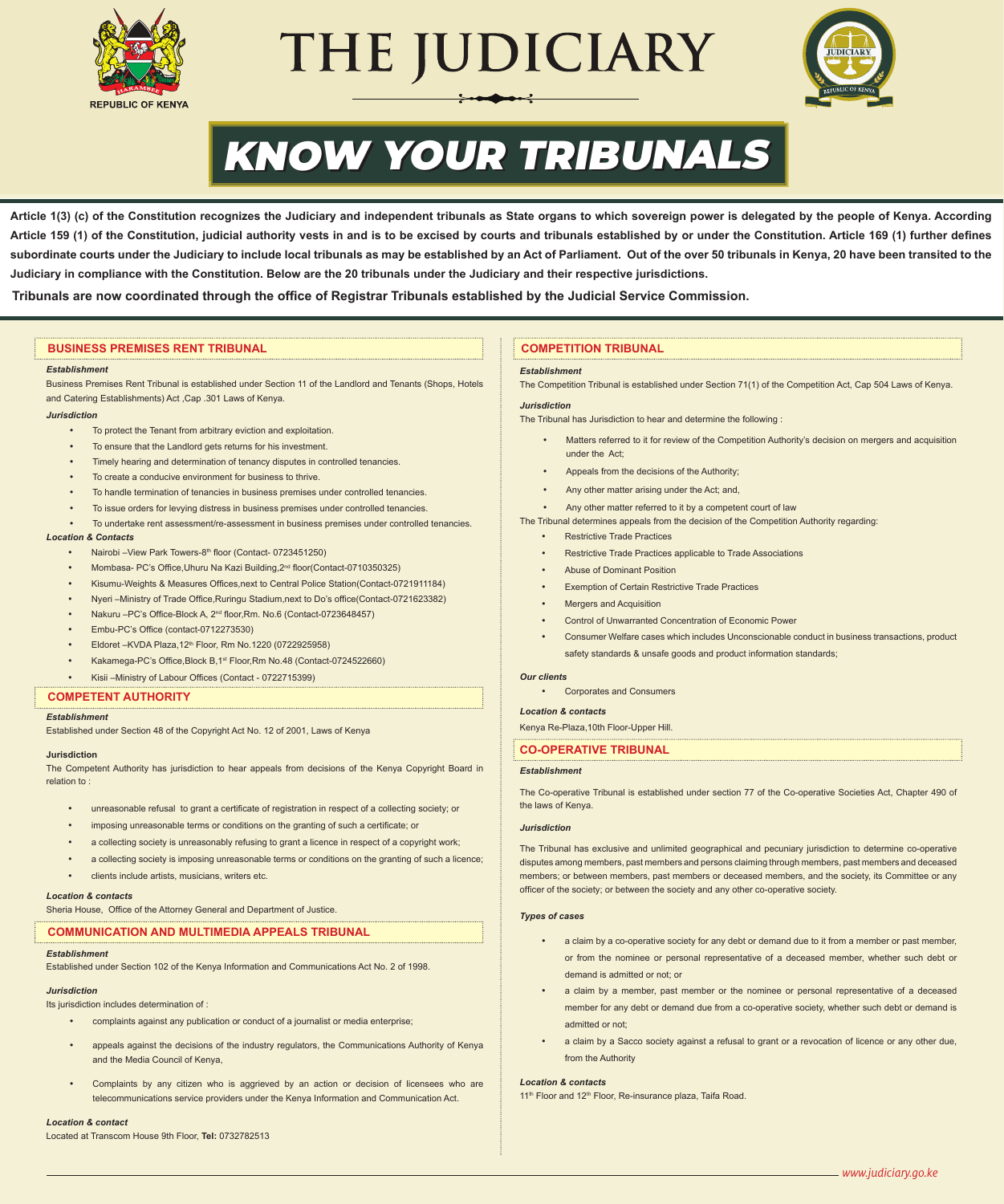

# THE JUDICIARY



# KNOW YOUR TRIBUNALS

**Article 1(3) (c) of the Constitution recognizes the Judiciary and independent tribunals as State organs to which sovereign power is delegated by the people of Kenya. According Article 159 (1) of the Constitution, judicial authority vests in and is to be excised by courts and tribunals established by or under the Constitution. Article 169 (1) further defines**  subordinate courts under the Judiciary to include local tribunals as may be established by an Act of Parliament. Out of the over 50 tribunals in Kenya, 20 have been transited to the **Judiciary in compliance with the Constitution. Below are the 20 tribunals under the Judiciary and their respective jurisdictions.**

**Tribunals are now coordinated through the office of Registrar Tribunals established by the Judicial Service Commission.**

#### **BUSINESS PREMISES RENT TRIBUNAL**

#### *Establishment*

Business Premises Rent Tribunal is established under Section 11 of the Landlord and Tenants (Shops, Hotels and Catering Establishments) Act ,Cap .301 Laws of Kenya.

#### *Jurisdiction*

- To protect the Tenant from arbitrary eviction and exploitation
- To ensure that the Landlord gets returns for his investment.
- Timely hearing and determination of tenancy disputes in controlled tenancies.
- To create a conducive environment for business to thrive.
- To handle termination of tenancies in business premises under controlled tenancies.
- To issue orders for levying distress in business premises under controlled tenancies.
- To undertake rent assessment/re-assessment in business premises under controlled tenancies. *Location & Contacts* 
	- Nairobi –View Park Towers-8<sup>th</sup> floor (Contact- 0723451250)
		- Mombasa- PC's Office Uhuru Na Kazi Building, 2<sup>nd</sup> floor(Contact-0710350325)
	- • Kisumu-Weights & Measures Offices,next to Central Police Station(Contact-0721911184)
	- • Nyeri –Ministry of Trade Office,Ruringu Stadium,next to Do's office(Contact-0721623382)
	- Nakuru PC's Office-Block A, 2<sup>nd</sup> floor, Rm, No.6 (Contact-0723648457)
	- • Embu-PC's Office (contact-0712273530)
	- Eldoret KVDA Plaza, 12<sup>th</sup> Floor, Rm No. 1220 (0722925958)
	- Kakamega-PC's Office, Block B, 1st Floor, Rm No.48 (Contact-0724522660)
	- Kisii –Ministry of Labour Offices (Contact 0722715399)

#### **COMPETENT AUTHORITY**

#### *Establishment*

Established under Section 48 of the Copyright Act No. 12 of 2001, Laws of Kenya

#### **Jurisdiction**

The Competent Authority has jurisdiction to hear appeals from decisions of the Kenya Copyright Board in relation to :

- unreasonable refusal to grant a certificate of registration in respect of a collecting society; or
- imposing unreasonable terms or conditions on the granting of such a certificate; or
- a collecting society is unreasonably refusing to grant a licence in respect of a copyright work;
- a collecting society is imposing unreasonable terms or conditions on the granting of such a licence;
- clients include artists, musicians, writers etc.

#### *Location & contacts*

Sheria House, Office of the Attorney General and Department of Justice.

#### **COMMUNICATION AND MULTIMEDIA APPEALS TRIBUNAL**

#### *Establishment*

Established under Section 102 of the Kenya Information and Communications Act No. 2 of 1998.

#### *Jurisdiction*

Its jurisdiction includes determination of :

- complaints against any publication or conduct of a journalist or media enterprise:
- appeals against the decisions of the industry regulators, the Communications Authority of Kenya and the Media Council of Kenya,
- Complaints by any citizen who is aggrieved by an action or decision of licensees who are telecommunications service providers under the Kenya Information and Communication Act.

#### *Location & contact*

Located at Transcom House 9th Floor, **Tel:** 0732782513

#### **COMPETITION TRIBUNAL**

#### *Establishment*

The Competition Tribunal is established under Section 71(1) of the Competition Act, Cap 504 Laws of Kenya.

#### *Jurisdiction*

The Tribunal has Jurisdiction to hear and determine the following :

- Matters referred to it for review of the Competition Authority's decision on mergers and acquisition under the Act;
- Appeals from the decisions of the Authority:
- Any other matter arising under the Act: and,

Any other matter referred to it by a competent court of law

The Tribunal determines appeals from the decision of the Competition Authority regarding:

- **Restrictive Trade Practices**
- Restrictive Trade Practices applicable to Trade Associations
- Abuse of Dominant Position
- **Exemption of Certain Restrictive Trade Practices**
- **Mergers and Acquisition**
- Control of Unwarranted Concentration of Economic Power
- Consumer Welfare cases which includes Unconscionable conduct in business transactions, product safety standards & unsafe goods and product information standards;

#### *Our clients*

**Corporates and Consumers** 

#### *Location & contacts*

Kenya Re-Plaza,10th Floor-Upper Hill.

## **CO-OPERATIVE TRIBUNAL**

#### *Establishment*

The Co-operative Tribunal is established under section 77 of the Co-operative Societies Act, Chapter 490 of the laws of Kenya.

#### *Jurisdiction*

The Tribunal has exclusive and unlimited geographical and pecuniary jurisdiction to determine co-operative disputes among members, past members and persons claiming through members, past members and deceased members; or between members, past members or deceased members, and the society, its Committee or any officer of the society; or between the society and any other co-operative society.

#### *Types of cases*

- a claim by a co-operative society for any debt or demand due to it from a member or past member. or from the nominee or personal representative of a deceased member, whether such debt or demand is admitted or not; or
- a claim by a member, past member or the nominee or personal representative of a deceased member for any debt or demand due from a co-operative society, whether such debt or demand is admitted or not;
- a claim by a Sacco society against a refusal to grant or a revocation of licence or any other due, from the Authority

#### *Location & contacts*

11<sup>th</sup> Floor and 12<sup>th</sup> Floor, Re-insurance plaza, Taifa Road.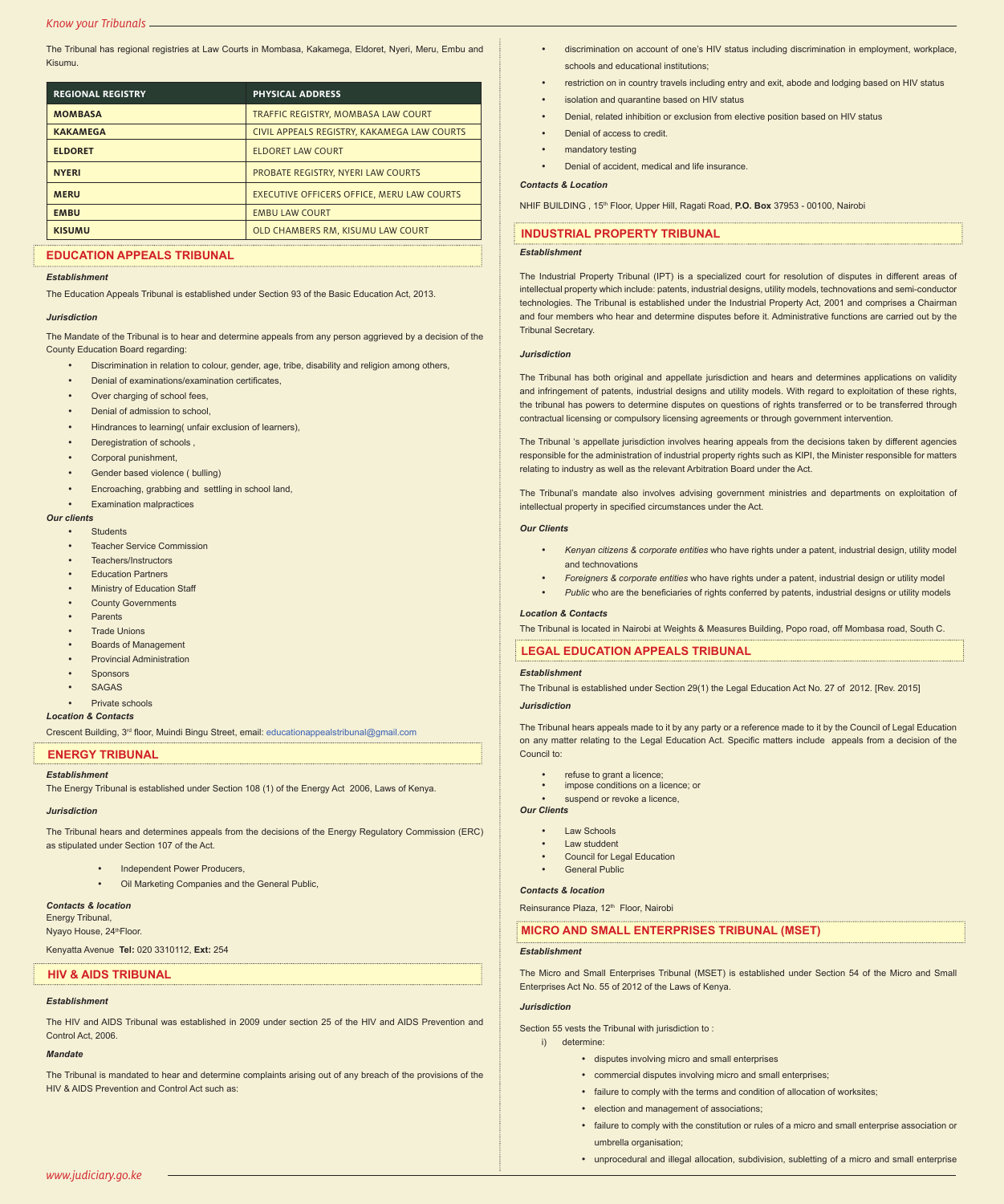The Tribunal has regional registries at Law Courts in Mombasa, Kakamega, Eldoret, Nyeri, Meru, Embu and Kisumu.

| <b>REGIONAL REGISTRY</b> | <b>PHYSICAL ADDRESS</b>                     |  |
|--------------------------|---------------------------------------------|--|
| <b>MOMBASA</b>           | TRAFFIC REGISTRY, MOMBASA LAW COURT         |  |
| <b>KAKAMEGA</b>          | CIVIL APPEALS REGISTRY, KAKAMEGA LAW COURTS |  |
| <b>ELDORET</b>           | <b>ELDORET LAW COURT</b>                    |  |
| <b>NYERI</b>             | <b>PROBATE REGISTRY, NYERI LAW COURTS</b>   |  |
| <b>MERU</b>              | EXECUTIVE OFFICERS OFFICE. MERU LAW COURTS  |  |
| <b>EMBU</b>              | <b>EMBU LAW COURT</b>                       |  |
| <b>KISUMU</b>            | OLD CHAMBERS RM, KISUMU LAW COURT           |  |

#### **EDUCATION APPEALS TRIBUNAL**

#### *Establishment*

The Education Appeals Tribunal is established under Section 93 of the Basic Education Act, 2013.

#### *Jurisdiction*

The Mandate of the Tribunal is to hear and determine appeals from any person aggrieved by a decision of the County Education Board regarding:

- Discrimination in relation to colour, gender, age, tribe, disability and religion among others,
- Denial of examinations/examination certificates,
- Over charging of school fees,
- Denial of admission to school.
- Hindrances to learning (unfair exclusion of learners),
- Deregistration of schools .
- Corporal punishment,
- Gender based violence ( bulling)
- Encroaching, grabbing and settling in school land,
- **Examination malpractices**

#### *Our clients*

- **Students**
- **Teacher Service Commission**
- Teachers/Instructors
- **Education Partners**
- **Ministry of Education Staff**
- **County Governments**
- • Parents
- **Trade Unions**
- **Boards of Management**
- **Provincial Administration**
- **Sponsors**
- • SAGAS
- Private schools

#### *Location & Contacts*

Crescent Building, 3rd floor, Muindi Bingu Street, email: educationappealstribunal@gmail.com

#### **ENERGY TRIBUNAL**

#### *Establishment*

The Energy Tribunal is established under Section 108 (1) of the Energy Act 2006, Laws of Kenya.

#### *Jurisdiction*

The Tribunal hears and determines appeals from the decisions of the Energy Regulatory Commission (ERC) as stipulated under Section 107 of the Act.

- **Independent Power Producers**
- **Oil Marketing Companies and the General Public.**

#### *Contacts & location* Energy Tribunal,

Nyayo House, 24<sup>th</sup>Floor.

Kenyatta Avenue **Tel:** 020 3310112, **Ext:** 254

#### **HIV & AIDS TRIBUNAL**

#### *Establishment*

The HIV and AIDS Tribunal was established in 2009 under section 25 of the HIV and AIDS Prevention and Control Act, 2006.

#### *Mandate*

The Tribunal is mandated to hear and determine complaints arising out of any breach of the provisions of the HIV & AIDS Prevention and Control Act such as:

- discrimination on account of one's HIV status including discrimination in employment, workplace, schools and educational institutions;
- restriction on in country travels including entry and exit, abode and lodging based on HIV status
- isolation and quarantine based on HIV status
- Denial, related inhibition or exclusion from elective position based on HIV status
- Denial of access to credit.
- mandatory testing
- Denial of accident, medical and life insurance

#### *Contacts & Location*

NHIF BUILDING , 15th Floor, Upper Hill, Ragati Road, **P.O. Box** 37953 - 00100, Nairobi

#### **INDUSTRIAL PROPERTY TRIBUNAL**

#### *Establishment*

The Industrial Property Tribunal (IPT) is a specialized court for resolution of disputes in different areas of intellectual property which include: patents, industrial designs, utility models, technovations and semi-conductor technologies. The Tribunal is established under the Industrial Property Act, 2001 and comprises a Chairman and four members who hear and determine disputes before it. Administrative functions are carried out by the Tribunal Secretary.

#### *Jurisdiction*

The Tribunal has both original and appellate jurisdiction and hears and determines applications on validity and infringement of patents, industrial designs and utility models. With regard to exploitation of these rights, the tribunal has powers to determine disputes on questions of rights transferred or to be transferred through contractual licensing or compulsory licensing agreements or through government intervention.

The Tribunal 's appellate jurisdiction involves hearing appeals from the decisions taken by different agencies responsible for the administration of industrial property rights such as KIPI, the Minister responsible for matters relating to industry as well as the relevant Arbitration Board under the Act.

The Tribunal's mandate also involves advising government ministries and departments on exploitation of intellectual property in specified circumstances under the Act.

#### *Our Clients*

- Kenyan citizens & corporate entities who have rights under a patent, industrial design, utility model and technovations
- • *Foreigners & corporate entities* who have rights under a patent, industrial design or utility model
- Public who are the beneficiaries of rights conferred by patents, industrial designs or utility models

#### *Location & Contacts*

The Tribunal is located in Nairobi at Weights & Measures Building, Popo road, off Mombasa road, South C.

**LEGAL EDUCATION APPEALS TRIBUNAL**

#### *Establishment*

The Tribunal is established under Section 29(1) the Legal Education Act No. 27 of 2012. [Rev. 2015]

#### *Jurisdiction*

The Tribunal hears appeals made to it by any party or a reference made to it by the Council of Legal Education on any matter relating to the Legal Education Act. Specific matters include appeals from a decision of the Council to:

- refuse to grant a licence;
- impose conditions on a licence; or
- suspend or revoke a licence.

### *Our Clients*

- **Law Schools**
- **Law studdent**
- Council for Legal Education
- **General Public**

#### *Contacts & location*

Reinsurance Plaza, 12<sup>th</sup> Floor, Nairobi

#### **MICRO AND SMALL ENTERPRISES TRIBUNAL (MSET)**

*Establishment*

The Micro and Small Enterprises Tribunal (MSET) is established under Section 54 of the Micro and Small Enterprises Act No. 55 of 2012 of the Laws of Kenya.

#### *Jurisdiction*

- Section 55 vests the Tribunal with jurisdiction to :
- i) determine:
	- • disputes involving micro and small enterprises
	- commercial disputes involving micro and small enterprises;
	- failure to comply with the terms and condition of allocation of worksites;
	- election and management of associations:
	- • failure to comply with the constitution or rules of a micro and small enterprise association or umbrella organisation;
	- unprocedural and illegal allocation, subdivision, subletting of a micro and small enterprise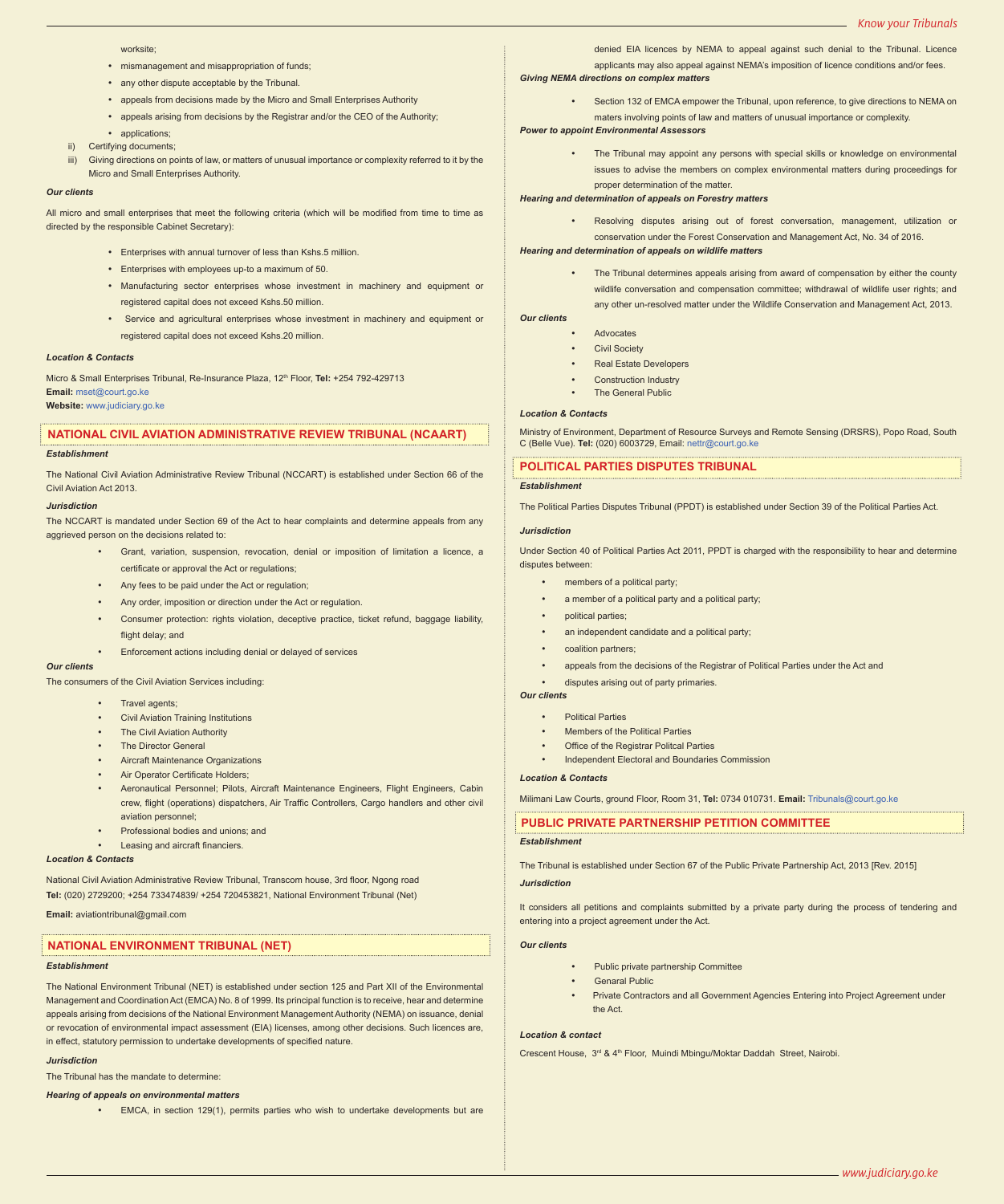worksite;

- mismanagement and misappropriation of funds:
- any other dispute acceptable by the Tribunal.
- • appeals from decisions made by the Micro and Small Enterprises Authority
- • appeals arising from decisions by the Registrar and/or the CEO of the Authority;
- applications;
- ii) Certifying documents;
- iii) Giving directions on points of law, or matters of unusual importance or complexity referred to it by the Micro and Small Enterprises Authority.

#### *Our clients*

All micro and small enterprises that meet the following criteria (which will be modified from time to time as directed by the responsible Cabinet Secretary):

- • Enterprises with annual turnover of less than Kshs.5 million.
- • Enterprises with employees up-to a maximum of 50.
- • Manufacturing sector enterprises whose investment in machinery and equipment or registered capital does not exceed Kshs.50 million.
- Service and agricultural enterprises whose investment in machinery and equipment or registered capital does not exceed Kshs.20 million.

#### *Location & Contacts*

Micro & Small Enterprises Tribunal, Re-Insurance Plaza, 12<sup>th</sup> Floor, **Tel:** +254 792-429713 **Email:** mset@court.go.ke **Website:** www.judiciary.go.ke

# **NATIONAL CIVIL AVIATION ADMINISTRATIVE REVIEW TRIBUNAL (NCAART)**

#### *Establishment*

The National Civil Aviation Administrative Review Tribunal (NCCART) is established under Section 66 of the Civil Aviation Act 2013.

#### *Jurisdiction*

The NCCART is mandated under Section 69 of the Act to hear complaints and determine appeals from any aggrieved person on the decisions related to:

- Grant, variation, suspension, revocation, denial or imposition of limitation a licence, a certificate or approval the Act or regulations;
- Any fees to be paid under the Act or regulation;
- Any order, imposition or direction under the Act or regulation.
- Consumer protection: rights violation, deceptive practice, ticket refund, baggage liability, flight delay; and
- Enforcement actions including denial or delayed of services

#### *Our clients*

The consumers of the Civil Aviation Services including:

- Travel agents:
- **Civil Aviation Training Institutions**
- The Civil Aviation Authority
- The Director General
- **Aircraft Maintenance Organizations**
- Air Operator Certificate Holders
- Aeronautical Personnel; Pilots, Aircraft Maintenance Engineers, Flight Engineers, Cabin crew, flight (operations) dispatchers, Air Traffic Controllers, Cargo handlers and other civil aviation personnel;
- Professional bodies and unions; and
- Leasing and aircraft financiers.

#### *Location & Contacts*

National Civil Aviation Administrative Review Tribunal, Transcom house, 3rd floor, Ngong road **Tel:** (020) 2729200; +254 733474839/ +254 720453821, National Environment Tribunal (Net)

**Email:** aviationtribunal@gmail.com

#### **NATIONAL ENVIRONMENT TRIBUNAL (NET)**

#### *Establishment*

The National Environment Tribunal (NET) is established under section 125 and Part XII of the Environmental Management and Coordination Act (EMCA) No. 8 of 1999. Its principal function is to receive, hear and determine appeals arising from decisions of the National Environment Management Authority (NEMA) on issuance, denial or revocation of environmental impact assessment (EIA) licenses, among other decisions. Such licences are, in effect, statutory permission to undertake developments of specified nature.

#### *Jurisdiction*

The Tribunal has the mandate to determine:

#### *Hearing of appeals on environmental matters*

• EMCA, in section 129(1), permits parties who wish to undertake developments but are

denied EIA licences by NEMA to appeal against such denial to the Tribunal. Licence applicants may also appeal against NEMA's imposition of licence conditions and/or fees. *Giving NEMA directions on complex matters*

Section 132 of EMCA empower the Tribunal, upon reference, to give directions to NEMA on maters involving points of law and matters of unusual importance or complexity.

#### *Power to appoint Environmental Assessors*

The Tribunal may appoint any persons with special skills or knowledge on environmental issues to advise the members on complex environmental matters during proceedings for proper determination of the matter.

#### *Hearing and determination of appeals on Forestry matters*

Resolving disputes arising out of forest conversation, management, utilization or conservation under the Forest Conservation and Management Act, No. 34 of 2016.

#### *Hearing and determination of appeals on wildlife matters*

The Tribunal determines appeals arising from award of compensation by either the county wildlife conversation and compensation committee; withdrawal of wildlife user rights; and any other un-resolved matter under the Wildlife Conservation and Management Act, 2013.

#### *Our clients*

- **Advocates** 
	- **Civil Society**
	- **Real Estate Developers**
	- Construction Industry
	- The General Public

#### *Location & Contacts*

Ministry of Environment, Department of Resource Surveys and Remote Sensing (DRSRS), Popo Road, South C (Belle Vue). **Tel:** (020) 6003729, Email: nettr@court.go.ke

#### **POLITICAL PARTIES DISPUTES TRIBUNAL**

#### *Establishment*

The Political Parties Disputes Tribunal (PPDT) is established under Section 39 of the Political Parties Act.

#### *Jurisdiction*

Under Section 40 of Political Parties Act 2011, PPDT is charged with the responsibility to hear and determine disputes between:

- members of a political party;
- a member of a political party and a political party;
- political parties;
- an independent candidate and a political party;
- coalition partners:
- appeals from the decisions of the Registrar of Political Parties under the Act and
- disputes arising out of party primaries.
- *Our clients* 
	- **Political Parties**
	- **Members of the Political Parties**
	- Office of the Registrar Politcal Parties
	- Independent Electoral and Boundaries Commission

#### *Location & Contacts*

Milimani Law Courts, ground Floor, Room 31, **Tel:** 0734 010731. **Email:** Tribunals@court.go.ke

#### **PUBLIC PRIVATE PARTNERSHIP PETITION COMMITTEE**

#### *Establishment*

The Tribunal is established under Section 67 of the Public Private Partnership Act, 2013 [Rev. 2015]

#### *Jurisdiction*

It considers all petitions and complaints submitted by a private party during the process of tendering and entering into a project agreement under the Act.

#### *Our clients*

- Public private partnership Committee
- **Genaral Public**
- Private Contractors and all Government Agencies Entering into Project Agreement under the Act.

#### *Location & contact*

Crescent House, 3rd & 4th Floor, Muindi Mbingu/Moktar Daddah Street, Nairobi.